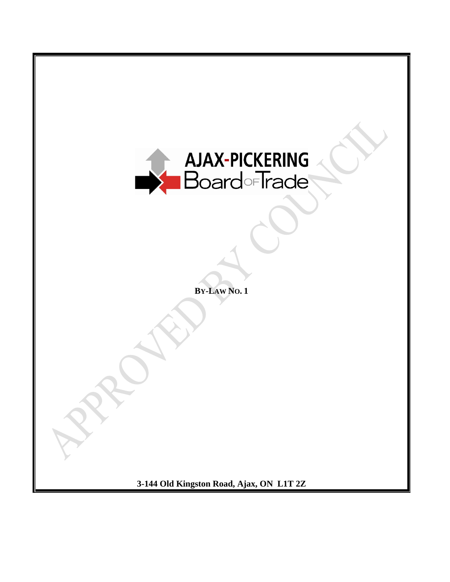

**BY-LAW NO. 1**

**3-144 Old Kingston Road, Ajax, ON L1T 2Z**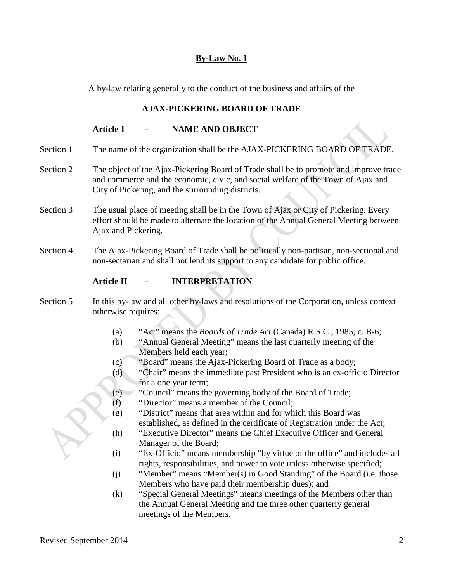# **By-Law No. 1**

A by-law relating generally to the conduct of the business and affairs of the

# **AJAX-PICKERING BOARD OF TRADE**

# **Article 1 - NAME AND OBJECT**

- Section 1 The name of the organization shall be the AJAX-PICKERING BOARD OF TRADE.
- Section 2 The object of the Ajax-Pickering Board of Trade shall be to promote and improve trade and commerce and the economic, civic, and social welfare of the Town of Ajax and City of Pickering, and the surrounding districts.
- Section 3 The usual place of meeting shall be in the Town of Ajax or City of Pickering. Every effort should be made to alternate the location of the Annual General Meeting between Ajax and Pickering.
- Section 4 The Ajax-Pickering Board of Trade shall be politically non-partisan, non-sectional and non-sectarian and shall not lend its support to any candidate for public office.

# **Article II - INTERPRETATION**

- Section 5 In this by-law and all other by-laws and resolutions of the Corporation, unless context otherwise requires:
	- (a) "Act" means the *Boards of Trade Act* (Canada) R.S.C., 1985, c. B-6;
	- (b) "Annual General Meeting" means the last quarterly meeting of the Members held each year;
	- (c) "Board" means the Ajax-Pickering Board of Trade as a body;
	- (d) "Chair" means the immediate past President who is an ex-officio Director for a one year term;
	- (e) "Council" means the governing body of the Board of Trade;
	- (f) "Director" means a member of the Council;
	- (g) "District" means that area within and for which this Board was established, as defined in the certificate of Registration under the Act;
	- (h) "Executive Director" means the Chief Executive Officer and General Manager of the Board;
	- (i) "Ex-Officio" means membership "by virtue of the office" and includes all rights, responsibilities, and power to vote unless otherwise specified;
	- (j) "Member" means "Member(s) in Good Standing" of the Board (i.e. those Members who have paid their membership dues); and
	- (k) "Special General Meetings" means meetings of the Members other than the Annual General Meeting and the three other quarterly general meetings of the Members.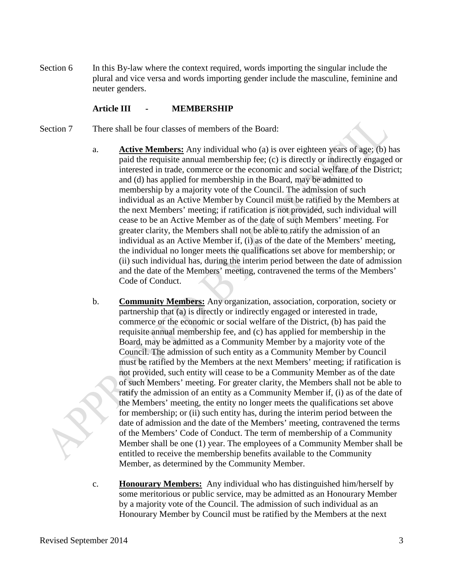Section 6 In this By-law where the context required, words importing the singular include the plural and vice versa and words importing gender include the masculine, feminine and neuter genders.

#### **Article III - MEMBERSHIP**

- Section 7 There shall be four classes of members of the Board:
	- a. **Active Members:** Any individual who (a) is over eighteen years of age; (b) has paid the requisite annual membership fee; (c) is directly or indirectly engaged or interested in trade, commerce or the economic and social welfare of the District; and (d) has applied for membership in the Board, may be admitted to membership by a majority vote of the Council. The admission of such individual as an Active Member by Council must be ratified by the Members at the next Members' meeting; if ratification is not provided, such individual will cease to be an Active Member as of the date of such Members' meeting. For greater clarity, the Members shall not be able to ratify the admission of an individual as an Active Member if, (i) as of the date of the Members' meeting, the individual no longer meets the qualifications set above for membership; or (ii) such individual has, during the interim period between the date of admission and the date of the Members' meeting, contravened the terms of the Members' Code of Conduct.
	- b. **Community Members:** Any organization, association, corporation, society or partnership that (a) is directly or indirectly engaged or interested in trade, commerce or the economic or social welfare of the District, (b) has paid the requisite annual membership fee, and (c) has applied for membership in the Board, may be admitted as a Community Member by a majority vote of the Council. The admission of such entity as a Community Member by Council must be ratified by the Members at the next Members' meeting; if ratification is not provided, such entity will cease to be a Community Member as of the date of such Members' meeting. For greater clarity, the Members shall not be able to ratify the admission of an entity as a Community Member if, (i) as of the date of the Members' meeting, the entity no longer meets the qualifications set above for membership; or (ii) such entity has, during the interim period between the date of admission and the date of the Members' meeting, contravened the terms of the Members' Code of Conduct. The term of membership of a Community Member shall be one (1) year. The employees of a Community Member shall be entitled to receive the membership benefits available to the Community Member, as determined by the Community Member.
	- c. **Honourary Members:** Any individual who has distinguished him/herself by some meritorious or public service, may be admitted as an Honourary Member by a majority vote of the Council. The admission of such individual as an Honourary Member by Council must be ratified by the Members at the next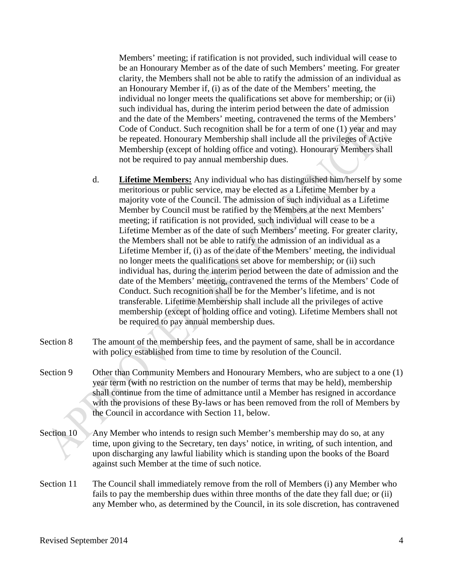Members' meeting; if ratification is not provided, such individual will cease to be an Honourary Member as of the date of such Members' meeting. For greater clarity, the Members shall not be able to ratify the admission of an individual as an Honourary Member if, (i) as of the date of the Members' meeting, the individual no longer meets the qualifications set above for membership; or (ii) such individual has, during the interim period between the date of admission and the date of the Members' meeting, contravened the terms of the Members' Code of Conduct. Such recognition shall be for a term of one (1) year and may be repeated. Honourary Membership shall include all the privileges of Active Membership (except of holding office and voting). Honourary Members shall not be required to pay annual membership dues.

- d. **Lifetime Members:** Any individual who has distinguished him/herself by some meritorious or public service, may be elected as a Lifetime Member by a majority vote of the Council. The admission of such individual as a Lifetime Member by Council must be ratified by the Members at the next Members' meeting; if ratification is not provided, such individual will cease to be a Lifetime Member as of the date of such Members' meeting. For greater clarity, the Members shall not be able to ratify the admission of an individual as a Lifetime Member if, (i) as of the date of the Members' meeting, the individual no longer meets the qualifications set above for membership; or (ii) such individual has, during the interim period between the date of admission and the date of the Members' meeting, contravened the terms of the Members' Code of Conduct. Such recognition shall be for the Member's lifetime, and is not transferable. Lifetime Membership shall include all the privileges of active membership (except of holding office and voting). Lifetime Members shall not be required to pay annual membership dues.
- Section 8 The amount of the membership fees, and the payment of same, shall be in accordance with policy established from time to time by resolution of the Council.
- Section 9 Other than Community Members and Honourary Members, who are subject to a one (1) year term (with no restriction on the number of terms that may be held), membership shall continue from the time of admittance until a Member has resigned in accordance with the provisions of these By-laws or has been removed from the roll of Members by the Council in accordance with Section 11, below.
- Section 10 Any Member who intends to resign such Member's membership may do so, at any time, upon giving to the Secretary, ten days' notice, in writing, of such intention, and upon discharging any lawful liability which is standing upon the books of the Board against such Member at the time of such notice.
- Section 11 The Council shall immediately remove from the roll of Members (i) any Member who fails to pay the membership dues within three months of the date they fall due; or (ii) any Member who, as determined by the Council, in its sole discretion, has contravened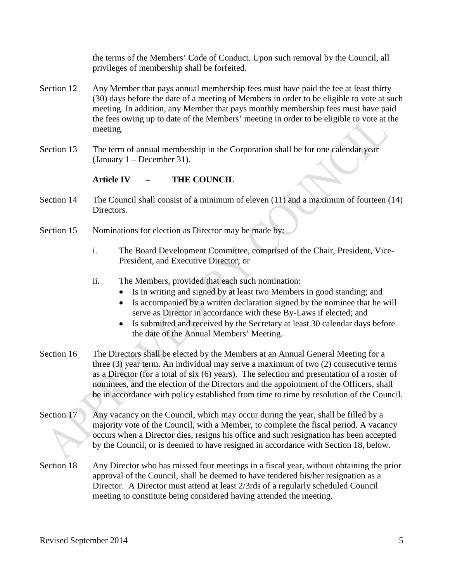the terms of the Members' Code of Conduct. Upon such removal by the Council, all privileges of membership shall be forfeited.

- Section 12 Any Member that pays annual membership fees must have paid the fee at least thirty (30) days before the date of a meeting of Members in order to be eligible to vote at such meeting. In addition, any Member that pays monthly membership fees must have paid the fees owing up to date of the Members' meeting in order to be eligible to vote at the meeting.
- Section 13 The term of annual membership in the Corporation shall be for one calendar year (January 1 – December 31).

#### **Article IV – THE COUNCIL**

- Section 14 The Council shall consist of a minimum of eleven (11) and a maximum of fourteen (14) Directors.
- Section 15 Nominations for election as Director may be made by:
	- i. The Board Development Committee, comprised of the Chair, President, Vice-President, and Executive Director; or
	- ii. The Members, provided that each such nomination:
		- Is in writing and signed by at least two Members in good standing; and
		- Is accompanied by a written declaration signed by the nominee that he will serve as Director in accordance with these By-Laws if elected; and
		- Is submitted and received by the Secretary at least 30 calendar days before the date of the Annual Members' Meeting.
- Section 16 The Directors shall be elected by the Members at an Annual General Meeting for a three (3) year term. An individual may serve a maximum of two (2) consecutive terms as a Director (for a total of six (6) years). The selection and presentation of a roster of nominees, and the election of the Directors and the appointment of the Officers, shall be in accordance with policy established from time to time by resolution of the Council.
- Section 17 Any vacancy on the Council, which may occur during the year, shall be filled by a majority vote of the Council, with a Member, to complete the fiscal period. A vacancy occurs when a Director dies, resigns his office and such resignation has been accepted by the Council, or is deemed to have resigned in accordance with Section 18, below.
- Section 18 Any Director who has missed four meetings in a fiscal year, without obtaining the prior approval of the Council, shall be deemed to have tendered his/her resignation as a Director. A Director must attend at least 2/3rds of a regularly scheduled Council meeting to constitute being considered having attended the meeting.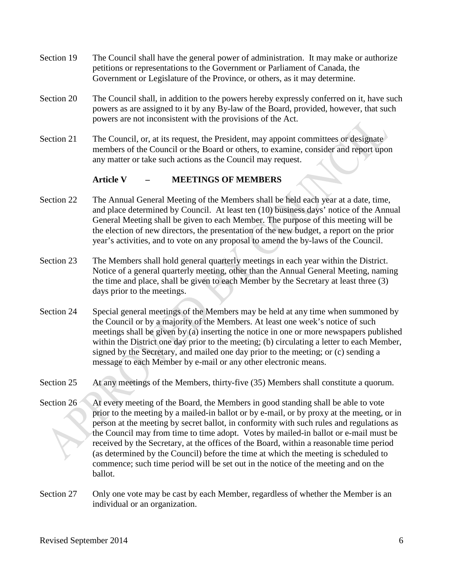- Section 19 The Council shall have the general power of administration. It may make or authorize petitions or representations to the Government or Parliament of Canada, the Government or Legislature of the Province, or others, as it may determine.
- Section 20 The Council shall, in addition to the powers hereby expressly conferred on it, have such powers as are assigned to it by any By-law of the Board, provided, however, that such powers are not inconsistent with the provisions of the Act.
- Section 21 The Council, or, at its request, the President, may appoint committees or designate members of the Council or the Board or others, to examine, consider and report upon any matter or take such actions as the Council may request.

#### **Article V – MEETINGS OF MEMBERS**

- Section 22 The Annual General Meeting of the Members shall be held each year at a date, time, and place determined by Council. At least ten (10) business days' notice of the Annual General Meeting shall be given to each Member. The purpose of this meeting will be the election of new directors, the presentation of the new budget, a report on the prior year's activities, and to vote on any proposal to amend the by-laws of the Council.
- Section 23 The Members shall hold general quarterly meetings in each year within the District. Notice of a general quarterly meeting, other than the Annual General Meeting, naming the time and place, shall be given to each Member by the Secretary at least three (3) days prior to the meetings.
- Section 24 Special general meetings of the Members may be held at any time when summoned by the Council or by a majority of the Members. At least one week's notice of such meetings shall be given by (a) inserting the notice in one or more newspapers published within the District one day prior to the meeting; (b) circulating a letter to each Member, signed by the Secretary, and mailed one day prior to the meeting; or (c) sending a message to each Member by e-mail or any other electronic means.
- Section 25 At any meetings of the Members, thirty-five (35) Members shall constitute a quorum.
- Section 26 At every meeting of the Board, the Members in good standing shall be able to vote prior to the meeting by a mailed-in ballot or by e-mail, or by proxy at the meeting, or in person at the meeting by secret ballot, in conformity with such rules and regulations as the Council may from time to time adopt. Votes by mailed-in ballot or e-mail must be received by the Secretary, at the offices of the Board, within a reasonable time period (as determined by the Council) before the time at which the meeting is scheduled to commence; such time period will be set out in the notice of the meeting and on the ballot.
- Section 27 Only one vote may be cast by each Member, regardless of whether the Member is an individual or an organization.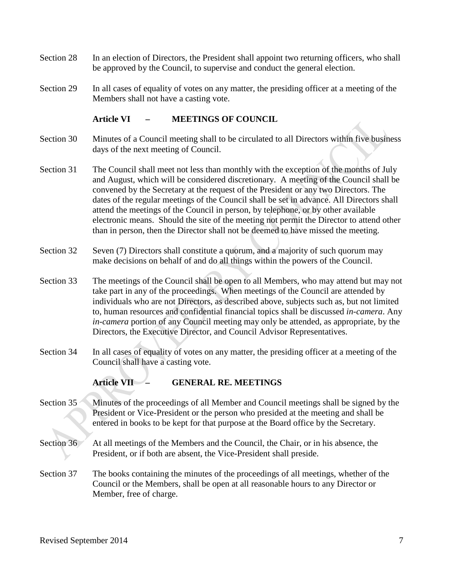- Section 28 In an election of Directors, the President shall appoint two returning officers, who shall be approved by the Council, to supervise and conduct the general election.
- Section 29 In all cases of equality of votes on any matter, the presiding officer at a meeting of the Members shall not have a casting vote.

#### **Article VI – MEETINGS OF COUNCIL**

- Section 30 Minutes of a Council meeting shall to be circulated to all Directors within five business days of the next meeting of Council.
- Section 31 The Council shall meet not less than monthly with the exception of the months of July and August, which will be considered discretionary. A meeting of the Council shall be convened by the Secretary at the request of the President or any two Directors. The dates of the regular meetings of the Council shall be set in advance. All Directors shall attend the meetings of the Council in person, by telephone, or by other available electronic means. Should the site of the meeting not permit the Director to attend other than in person, then the Director shall not be deemed to have missed the meeting.
- Section 32 Seven (7) Directors shall constitute a quorum, and a majority of such quorum may make decisions on behalf of and do all things within the powers of the Council.
- Section 33 The meetings of the Council shall be open to all Members, who may attend but may not take part in any of the proceedings. When meetings of the Council are attended by individuals who are not Directors, as described above, subjects such as, but not limited to, human resources and confidential financial topics shall be discussed *in-camera*. Any *in-camera* portion of any Council meeting may only be attended, as appropriate, by the Directors, the Executive Director, and Council Advisor Representatives.
- Section 34 In all cases of equality of votes on any matter, the presiding officer at a meeting of the Council shall have a casting vote.

# **Article VII – GENERAL RE. MEETINGS**

- Section 35 Minutes of the proceedings of all Member and Council meetings shall be signed by the President or Vice-President or the person who presided at the meeting and shall be entered in books to be kept for that purpose at the Board office by the Secretary.
- Section 36 At all meetings of the Members and the Council, the Chair, or in his absence, the President, or if both are absent, the Vice-President shall preside.
- Section 37 The books containing the minutes of the proceedings of all meetings, whether of the Council or the Members, shall be open at all reasonable hours to any Director or Member, free of charge.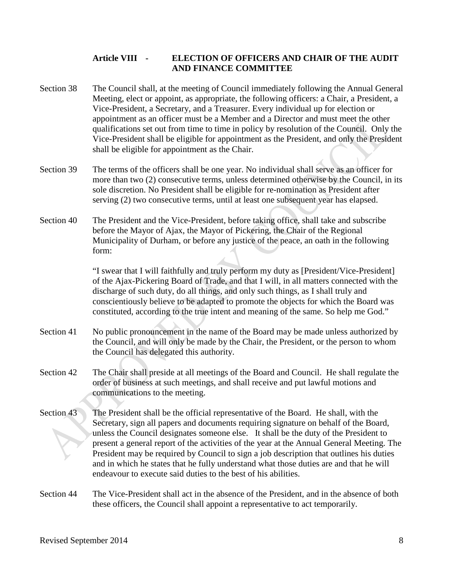### **Article VIII - ELECTION OF OFFICERS AND CHAIR OF THE AUDIT AND FINANCE COMMITTEE**

- Section 38 The Council shall, at the meeting of Council immediately following the Annual General Meeting, elect or appoint, as appropriate, the following officers: a Chair, a President, a Vice-President, a Secretary, and a Treasurer. Every individual up for election or appointment as an officer must be a Member and a Director and must meet the other qualifications set out from time to time in policy by resolution of the Council. Only the Vice-President shall be eligible for appointment as the President, and only the President shall be eligible for appointment as the Chair.
- Section 39 The terms of the officers shall be one year. No individual shall serve as an officer for more than two (2) consecutive terms, unless determined otherwise by the Council, in its sole discretion. No President shall be eligible for re-nomination as President after serving (2) two consecutive terms, until at least one subsequent year has elapsed.
- Section 40 The President and the Vice-President, before taking office, shall take and subscribe before the Mayor of Ajax, the Mayor of Pickering, the Chair of the Regional Municipality of Durham, or before any justice of the peace, an oath in the following form:

"I swear that I will faithfully and truly perform my duty as [President/Vice-President] of the Ajax-Pickering Board of Trade, and that I will, in all matters connected with the discharge of such duty, do all things, and only such things, as I shall truly and conscientiously believe to be adapted to promote the objects for which the Board was constituted, according to the true intent and meaning of the same. So help me God."

- Section 41 No public pronouncement in the name of the Board may be made unless authorized by the Council, and will only be made by the Chair, the President, or the person to whom the Council has delegated this authority.
- Section 42 The Chair shall preside at all meetings of the Board and Council. He shall regulate the order of business at such meetings, and shall receive and put lawful motions and communications to the meeting.
- Section 43 The President shall be the official representative of the Board. He shall, with the Secretary, sign all papers and documents requiring signature on behalf of the Board, unless the Council designates someone else. It shall be the duty of the President to present a general report of the activities of the year at the Annual General Meeting. The President may be required by Council to sign a job description that outlines his duties and in which he states that he fully understand what those duties are and that he will endeavour to execute said duties to the best of his abilities.
- Section 44 The Vice-President shall act in the absence of the President, and in the absence of both these officers, the Council shall appoint a representative to act temporarily.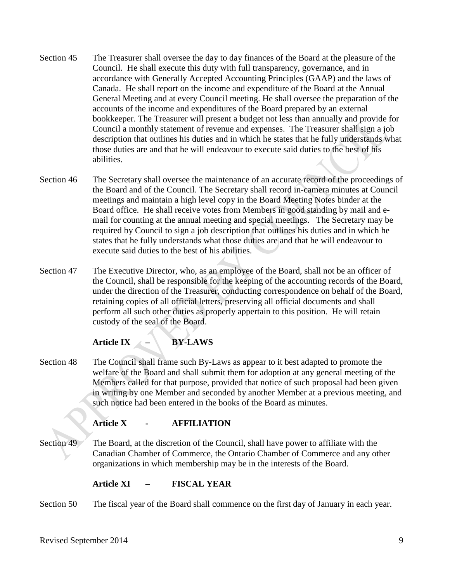- Section 45 The Treasurer shall oversee the day to day finances of the Board at the pleasure of the Council. He shall execute this duty with full transparency, governance, and in accordance with Generally Accepted Accounting Principles (GAAP) and the laws of Canada. He shall report on the income and expenditure of the Board at the Annual General Meeting and at every Council meeting. He shall oversee the preparation of the accounts of the income and expenditures of the Board prepared by an external bookkeeper. The Treasurer will present a budget not less than annually and provide for Council a monthly statement of revenue and expenses. The Treasurer shall sign a job description that outlines his duties and in which he states that he fully understands what those duties are and that he will endeavour to execute said duties to the best of his abilities.
- Section 46 The Secretary shall oversee the maintenance of an accurate record of the proceedings of the Board and of the Council. The Secretary shall record in-camera minutes at Council meetings and maintain a high level copy in the Board Meeting Notes binder at the Board office. He shall receive votes from Members in good standing by mail and email for counting at the annual meeting and special meetings. The Secretary may be required by Council to sign a job description that outlines his duties and in which he states that he fully understands what those duties are and that he will endeavour to execute said duties to the best of his abilities.
- Section 47 The Executive Director, who, as an employee of the Board, shall not be an officer of the Council, shall be responsible for the keeping of the accounting records of the Board, under the direction of the Treasurer, conducting correspondence on behalf of the Board, retaining copies of all official letters, preserving all official documents and shall perform all such other duties as properly appertain to this position. He will retain custody of the seal of the Board.

# **Article IX – BY-LAWS**

Section 48 The Council shall frame such By-Laws as appear to it best adapted to promote the welfare of the Board and shall submit them for adoption at any general meeting of the Members called for that purpose, provided that notice of such proposal had been given in writing by one Member and seconded by another Member at a previous meeting, and such notice had been entered in the books of the Board as minutes.

# **Article X - AFFILIATION**

Section 49 The Board, at the discretion of the Council, shall have power to affiliate with the Canadian Chamber of Commerce, the Ontario Chamber of Commerce and any other organizations in which membership may be in the interests of the Board.

# **Article XI – FISCAL YEAR**

Section 50 The fiscal year of the Board shall commence on the first day of January in each year.